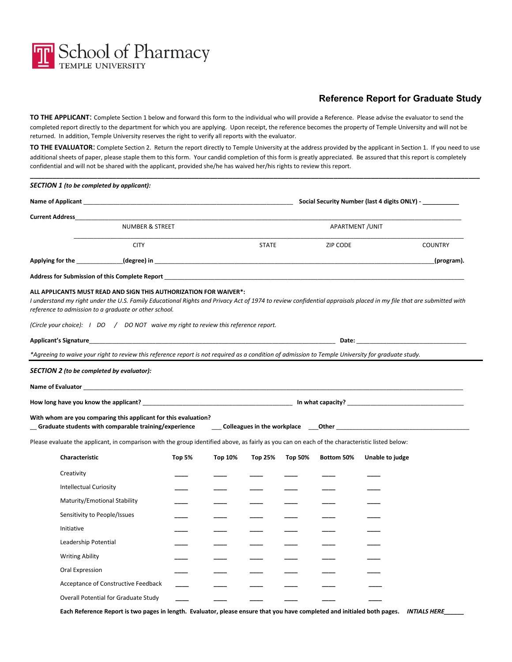

## **Reference Report for Graduate Study**

**TO THE APPLICANT**: Complete Section 1 below and forward this form to the individual who will provide a Reference. Please advise the evaluator to send the completed report directly to the department for which you are applying. Upon receipt, the reference becomes the property of Temple University and will not be returned. In addition, Temple University reserves the right to verify all reports with the evaluator.

TO THE EVALUATOR: Complete Section 2. Return the report directly to Temple University at the address provided by the applicant in Section 1. If you need to use additional sheets of paper, please staple them to this form. Your candid completion of this form is greatly appreciated. Be assured that this report is completely confidential and will not be shared with the applicant, provided she/he has waived her/his rights to review this report.

| SECTION 1 (to be completed by applicant):                                                                                                                                                                                                                                                        |               |                |                  |                |            |                                                                                                                                                                                                                                |                |  |
|--------------------------------------------------------------------------------------------------------------------------------------------------------------------------------------------------------------------------------------------------------------------------------------------------|---------------|----------------|------------------|----------------|------------|--------------------------------------------------------------------------------------------------------------------------------------------------------------------------------------------------------------------------------|----------------|--|
| Name of Applicant <b>Exercise 2.2 In the Contract Official Contract Contract Official Contract Official Contract Of</b>                                                                                                                                                                          |               |                |                  |                |            |                                                                                                                                                                                                                                |                |  |
| Current Address <b>Current</b>                                                                                                                                                                                                                                                                   |               |                |                  |                |            |                                                                                                                                                                                                                                |                |  |
| <b>NUMBER &amp; STREET</b>                                                                                                                                                                                                                                                                       |               |                | APARTMENT / UNIT |                |            |                                                                                                                                                                                                                                |                |  |
|                                                                                                                                                                                                                                                                                                  | <b>CITY</b>   |                | <b>STATE</b>     |                | ZIP CODE   |                                                                                                                                                                                                                                | <b>COUNTRY</b> |  |
|                                                                                                                                                                                                                                                                                                  |               |                |                  |                |            |                                                                                                                                                                                                                                | (program).     |  |
|                                                                                                                                                                                                                                                                                                  |               |                |                  |                |            |                                                                                                                                                                                                                                |                |  |
| ALL APPLICANTS MUST READ AND SIGN THIS AUTHORIZATION FOR WAIVER*:<br>I understand my right under the U.S. Family Educational Rights and Privacy Act of 1974 to review confidential appraisals placed in my file that are submitted with<br>reference to admission to a graduate or other school. |               |                |                  |                |            |                                                                                                                                                                                                                                |                |  |
| (Circle your choice): I DO / DO NOT waive my right to review this reference report.                                                                                                                                                                                                              |               |                |                  |                |            |                                                                                                                                                                                                                                |                |  |
|                                                                                                                                                                                                                                                                                                  |               |                |                  |                |            |                                                                                                                                                                                                                                |                |  |
| *Agreeing to waive your right to review this reference report is not required as a condition of admission to Temple University for graduate study.                                                                                                                                               |               |                |                  |                |            |                                                                                                                                                                                                                                |                |  |
| <b>SECTION 2</b> (to be completed by evaluator):                                                                                                                                                                                                                                                 |               |                |                  |                |            |                                                                                                                                                                                                                                |                |  |
|                                                                                                                                                                                                                                                                                                  |               |                |                  |                |            |                                                                                                                                                                                                                                |                |  |
| With whom are you comparing this applicant for this evaluation?<br>Graduate students with comparable training/experience                                                                                                                                                                         |               |                |                  |                |            | Colleagues in the workplace entitled the control of the collection of the collection of the collection of the collection of the collection of the collection of the collection of the collection of the collection of the coll |                |  |
| Please evaluate the applicant, in comparison with the group identified above, as fairly as you can on each of the characteristic listed below:                                                                                                                                                   |               |                |                  |                |            |                                                                                                                                                                                                                                |                |  |
| Characteristic                                                                                                                                                                                                                                                                                   | <b>Top 5%</b> | <b>Top 10%</b> | <b>Top 25%</b>   | <b>Top 50%</b> | Bottom 50% | Unable to judge                                                                                                                                                                                                                |                |  |
| Creativity                                                                                                                                                                                                                                                                                       |               |                |                  |                |            |                                                                                                                                                                                                                                |                |  |
| <b>Intellectual Curiosity</b>                                                                                                                                                                                                                                                                    |               |                |                  |                |            |                                                                                                                                                                                                                                |                |  |
| Maturity/Emotional Stability                                                                                                                                                                                                                                                                     |               |                |                  |                |            |                                                                                                                                                                                                                                |                |  |
| Sensitivity to People/Issues                                                                                                                                                                                                                                                                     |               |                |                  |                |            |                                                                                                                                                                                                                                |                |  |
| Initiative                                                                                                                                                                                                                                                                                       |               |                |                  |                |            |                                                                                                                                                                                                                                |                |  |
| Leadership Potential                                                                                                                                                                                                                                                                             |               |                |                  |                |            |                                                                                                                                                                                                                                |                |  |
| <b>Writing Ability</b>                                                                                                                                                                                                                                                                           |               |                |                  |                |            |                                                                                                                                                                                                                                |                |  |
| Oral Expression                                                                                                                                                                                                                                                                                  |               |                |                  |                |            |                                                                                                                                                                                                                                |                |  |
| Acceptance of Constructive Feedback                                                                                                                                                                                                                                                              |               |                |                  |                |            |                                                                                                                                                                                                                                |                |  |
| Overall Potential for Graduate Study                                                                                                                                                                                                                                                             |               |                |                  |                |            |                                                                                                                                                                                                                                |                |  |

**Each Reference Report is two pages in length. Evaluator, please ensure that you have completed and initialed both pages.** *INTIALS HERE\_\_\_\_\_\_*